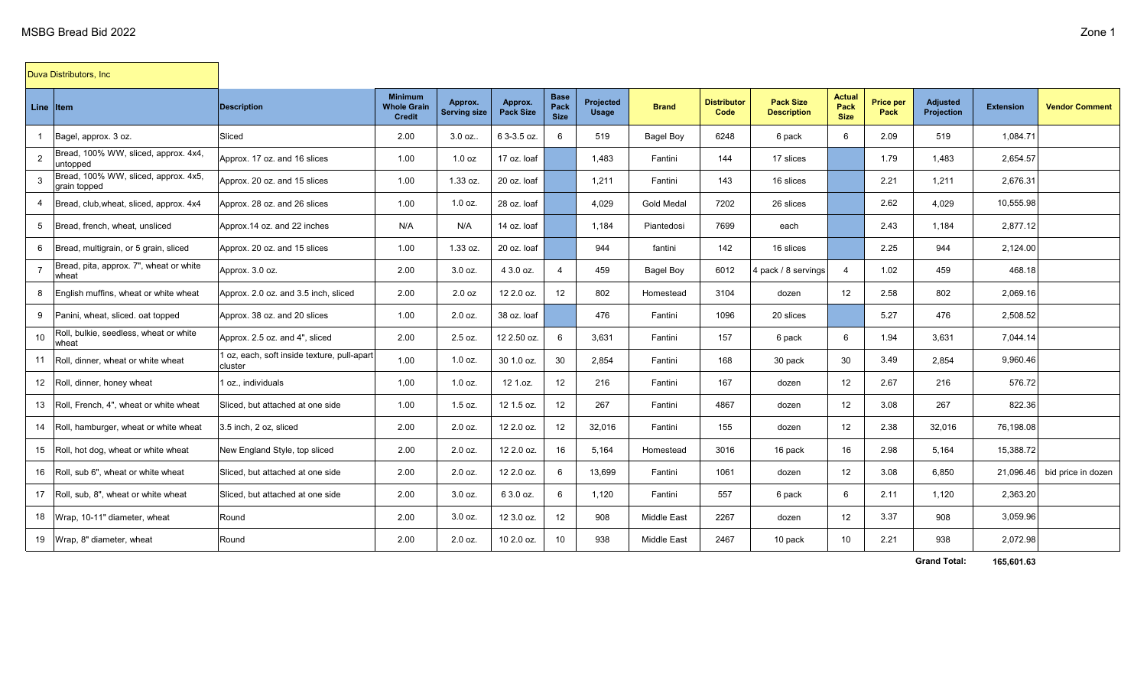$\mathcal{A}$ 

|                | Duva Distributors, Inc                               |                                                        |                                                       |                                |                             |                                    |                           |                    |                            |                                        |                               |                          |                               |                  |                       |
|----------------|------------------------------------------------------|--------------------------------------------------------|-------------------------------------------------------|--------------------------------|-----------------------------|------------------------------------|---------------------------|--------------------|----------------------------|----------------------------------------|-------------------------------|--------------------------|-------------------------------|------------------|-----------------------|
| Line Item      |                                                      | <b>Description</b>                                     | <b>Minimum</b><br><b>Whole Grain</b><br><b>Credit</b> | Approx.<br><b>Serving size</b> | Approx.<br><b>Pack Size</b> | <b>Base</b><br>Pack<br><b>Size</b> | Projected<br><b>Usage</b> | <b>Brand</b>       | <b>Distributor</b><br>Code | <b>Pack Size</b><br><b>Description</b> | Actual<br>Pack<br><b>Size</b> | <b>Price per</b><br>Pack | <b>Adjusted</b><br>Projection | <b>Extension</b> | <b>Vendor Comment</b> |
| $\overline{1}$ | Bagel, approx. 3 oz.                                 | Sliced                                                 | 2.00                                                  | 3.0 oz.                        | 6 3-3.5 oz.                 | 6                                  | 519                       | <b>Bagel Boy</b>   | 6248                       | 6 pack                                 | 6                             | 2.09                     | 519                           | 1,084.71         |                       |
| $\overline{2}$ | Bread, 100% WW, sliced, approx. 4x4,<br>untopped     | Approx. 17 oz. and 16 slices                           | 1.00                                                  | 1.0 oz                         | 17 oz. loaf                 |                                    | 1,483                     | Fantini            | 144                        | 17 slices                              |                               | 1.79                     | 1,483                         | 2,654.57         |                       |
| 3              | Bread, 100% WW, sliced, approx. 4x5,<br>grain topped | Approx. 20 oz. and 15 slices                           | 1.00                                                  | 1.33 oz.                       | 20 oz. loaf                 |                                    | 1,211                     | Fantini            | 143                        | 16 slices                              |                               | 2.21                     | 1,211                         | 2,676.31         |                       |
| $\overline{a}$ | Bread, club, wheat, sliced, approx. 4x4              | Approx. 28 oz. and 26 slices                           | 1.00                                                  | $1.0$ oz.                      | 28 oz. loaf                 |                                    | 4,029                     | <b>Gold Medal</b>  | 7202                       | 26 slices                              |                               | 2.62                     | 4,029                         | 10,555.98        |                       |
| 5              | Bread, french, wheat, unsliced                       | Approx.14 oz. and 22 inches                            | N/A                                                   | N/A                            | 14 oz. loaf                 |                                    | 1,184                     | Piantedosi         | 7699                       | each                                   |                               | 2.43                     | 1,184                         | 2,877.12         |                       |
| 6              | Bread, multigrain, or 5 grain, sliced                | Approx. 20 oz. and 15 slices                           | 1.00                                                  | 1.33 oz.                       | 20 oz. loaf                 |                                    | 944                       | fantini            | 142                        | 16 slices                              |                               | 2.25                     | 944                           | 2,124.00         |                       |
| $\overline{7}$ | Bread, pita, approx. 7", wheat or white<br>wheat     | Approx. 3.0 oz.                                        | 2.00                                                  | $3.0$ oz.                      | 4 3.0 oz.                   | $\overline{4}$                     | 459                       | <b>Bagel Boy</b>   | 6012                       | 4 pack / 8 servings                    | 4                             | 1.02                     | 459                           | 468.18           |                       |
| 8              | English muffins, wheat or white wheat                | Approx. 2.0 oz. and 3.5 inch, sliced                   | 2.00                                                  | 2.0 oz                         | 12 2.0 oz.                  | 12 <sup>°</sup>                    | 802                       | Homestead          | 3104                       | dozen                                  | 12                            | 2.58                     | 802                           | 2,069.16         |                       |
| 9              | Panini, wheat, sliced, oat topped                    | Approx. 38 oz. and 20 slices                           | 1.00                                                  | 2.0 oz.                        | 38 oz. loaf                 |                                    | 476                       | Fantini            | 1096                       | 20 slices                              |                               | 5.27                     | 476                           | 2,508.52         |                       |
| 10             | Roll, bulkie, seedless, wheat or white<br>wheat      | Approx. 2.5 oz. and 4", sliced                         | 2.00                                                  | 2.5 oz.                        | 12 2.50 oz.                 | 6                                  | 3.631                     | Fantini            | 157                        | 6 pack                                 | 6                             | 1.94                     | 3,631                         | 7.044.14         |                       |
| 11             | Roll, dinner, wheat or white wheat                   | l oz, each, soft inside texture, pull-apart<br>cluster | 1.00                                                  | $1.0$ oz.                      | 30 1.0 oz.                  | 30                                 | 2,854                     | Fantini            | 168                        | 30 pack                                | 30                            | 3.49                     | 2,854                         | 9,960.46         |                       |
|                | 12 Roll, dinner, honey wheat                         | 1 oz., individuals                                     | 1,00                                                  | $1.0$ oz.                      | 12 1.oz.                    | 12 <sup>°</sup>                    | 216                       | Fantini            | 167                        | dozen                                  | 12 <sup>2</sup>               | 2.67                     | 216                           | 576.72           |                       |
|                | 13 Roll, French, 4", wheat or white wheat            | Sliced, but attached at one side                       | 1.00                                                  | $1.5$ oz.                      | 12 1.5 oz.                  | 12                                 | 267                       | Fantini            | 4867                       | dozen                                  | 12                            | 3.08                     | 267                           | 822.36           |                       |
|                | 14 Roll, hamburger, wheat or white wheat             | 3.5 inch, 2 oz, sliced                                 | 2.00                                                  | 2.0 oz.                        | 12 2.0 oz.                  | 12 <sup>°</sup>                    | 32,016                    | Fantini            | 155                        | dozen                                  | 12                            | 2.38                     | 32,016                        | 76,198.08        |                       |
|                | 15 Roll, hot dog, wheat or white wheat               | New England Style, top sliced                          | 2.00                                                  | $2.0$ oz.                      | 12 2.0 oz.                  | 16                                 | 5,164                     | Homestead          | 3016                       | 16 pack                                | 16                            | 2.98                     | 5,164                         | 15,388.72        |                       |
|                | 16 Roll, sub 6", wheat or white wheat                | Sliced, but attached at one side                       | 2.00                                                  | 2.0 oz.                        | 12 2.0 oz.                  | 6                                  | 13,699                    | Fantini            | 1061                       | dozen                                  | 12                            | 3.08                     | 6,850                         | 21,096.46        | bid price in dozen    |
|                | 17 Roll, sub, 8", wheat or white wheat               | Sliced, but attached at one side                       | 2.00                                                  | $3.0$ oz.                      | 6 3.0 oz.                   | 6                                  | 1,120                     | Fantini            | 557                        | 6 pack                                 | 6                             | 2.11                     | 1,120                         | 2,363.20         |                       |
|                | 18 Wrap, 10-11" diameter, wheat                      | Round                                                  | 2.00                                                  | $3.0$ oz.                      | 12 3.0 oz.                  | 12 <sup>°</sup>                    | 908                       | <b>Middle East</b> | 2267                       | dozen                                  | 12                            | 3.37                     | 908                           | 3,059.96         |                       |
|                | 19 Wrap, 8" diameter, wheat                          | Round                                                  | 2.00                                                  | 2.0 oz.                        | 10 2.0 oz.                  | 10                                 | 938                       | <b>Middle East</b> | 2467                       | 10 pack                                | 10 <sup>°</sup>               | 2.21                     | 938                           | 2,072.98         |                       |

**Grand Total: 165,601.63**